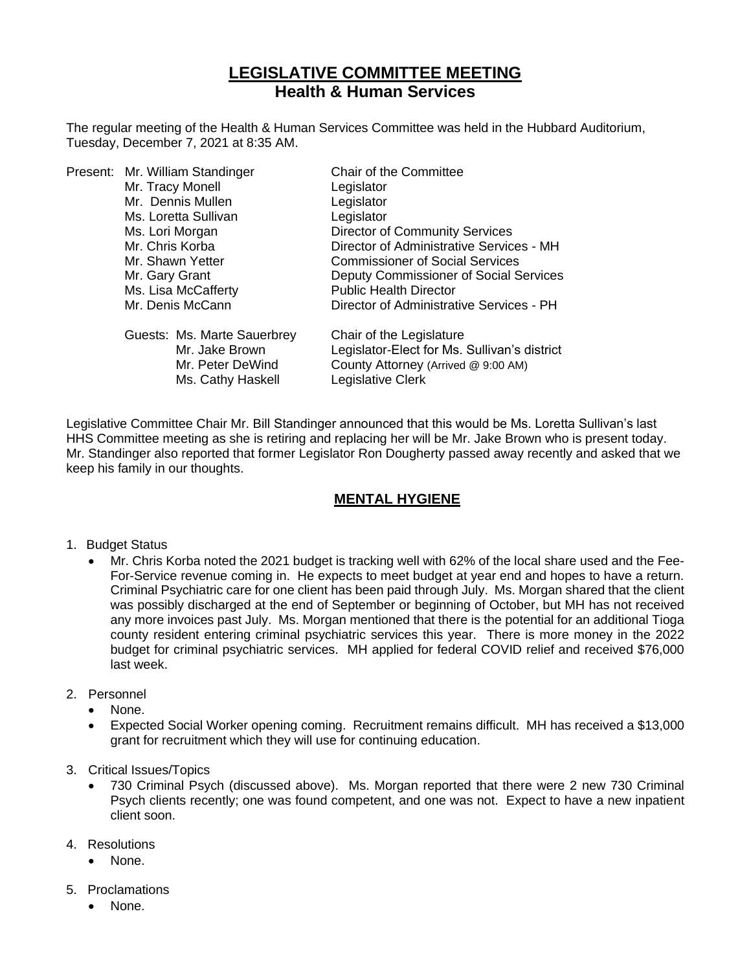# **LEGISLATIVE COMMITTEE MEETING Health & Human Services**

The regular meeting of the Health & Human Services Committee was held in the Hubbard Auditorium, Tuesday, December 7, 2021 at 8:35 AM.

|  | Present: Mr. William Standinger | Chair of the Committee                       |
|--|---------------------------------|----------------------------------------------|
|  | Mr. Tracy Monell                | Legislator                                   |
|  | Mr. Dennis Mullen               | Legislator                                   |
|  | Ms. Loretta Sullivan            | Legislator                                   |
|  | Ms. Lori Morgan                 | <b>Director of Community Services</b>        |
|  | Mr. Chris Korba                 | Director of Administrative Services - MH     |
|  | Mr. Shawn Yetter                | <b>Commissioner of Social Services</b>       |
|  | Mr. Gary Grant                  | Deputy Commissioner of Social Services       |
|  | Ms. Lisa McCafferty             | <b>Public Health Director</b>                |
|  | Mr. Denis McCann                | Director of Administrative Services - PH     |
|  | Guests: Ms. Marte Sauerbrey     | Chair of the Legislature                     |
|  | Mr. Jake Brown                  | Legislator-Elect for Ms. Sullivan's district |
|  | Mr. Peter DeWind                | County Attorney (Arrived @ 9:00 AM)          |
|  | Ms. Cathy Haskell               | Legislative Clerk                            |

Legislative Committee Chair Mr. Bill Standinger announced that this would be Ms. Loretta Sullivan's last HHS Committee meeting as she is retiring and replacing her will be Mr. Jake Brown who is present today. Mr. Standinger also reported that former Legislator Ron Dougherty passed away recently and asked that we keep his family in our thoughts.

### **MENTAL HYGIENE**

- 1. Budget Status
	- Mr. Chris Korba noted the 2021 budget is tracking well with 62% of the local share used and the Fee-For-Service revenue coming in. He expects to meet budget at year end and hopes to have a return. Criminal Psychiatric care for one client has been paid through July. Ms. Morgan shared that the client was possibly discharged at the end of September or beginning of October, but MH has not received any more invoices past July. Ms. Morgan mentioned that there is the potential for an additional Tioga county resident entering criminal psychiatric services this year. There is more money in the 2022 budget for criminal psychiatric services. MH applied for federal COVID relief and received \$76,000 last week.
- 2. Personnel
	- None.
	- Expected Social Worker opening coming. Recruitment remains difficult. MH has received a \$13,000 grant for recruitment which they will use for continuing education.
- 3. Critical Issues/Topics
	- 730 Criminal Psych (discussed above). Ms. Morgan reported that there were 2 new 730 Criminal Psych clients recently; one was found competent, and one was not. Expect to have a new inpatient client soon.
- 4. Resolutions
	- None.
- 5. Proclamations
	- None.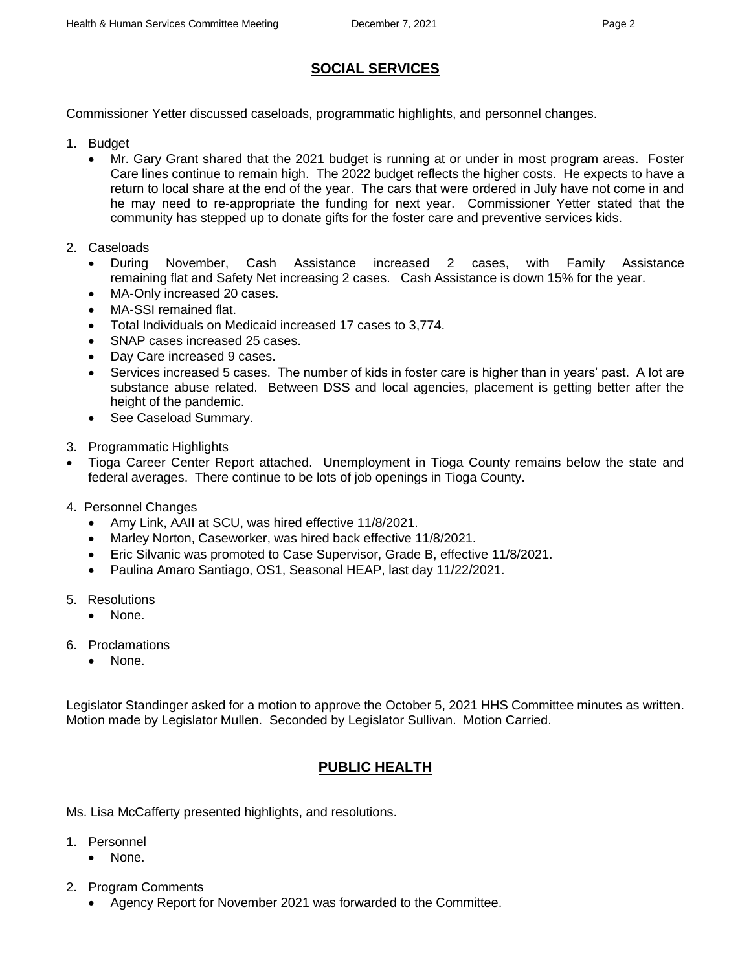### **SOCIAL SERVICES**

Commissioner Yetter discussed caseloads, programmatic highlights, and personnel changes.

- 1. Budget
	- Mr. Gary Grant shared that the 2021 budget is running at or under in most program areas. Foster Care lines continue to remain high. The 2022 budget reflects the higher costs. He expects to have a return to local share at the end of the year. The cars that were ordered in July have not come in and he may need to re-appropriate the funding for next year. Commissioner Yetter stated that the community has stepped up to donate gifts for the foster care and preventive services kids.
- 2. Caseloads
	- During November, Cash Assistance increased 2 cases, with Family Assistance remaining flat and Safety Net increasing 2 cases. Cash Assistance is down 15% for the year.
	- MA-Only increased 20 cases.
	- MA-SSI remained flat.
	- Total Individuals on Medicaid increased 17 cases to 3,774.
	- SNAP cases increased 25 cases.
	- Day Care increased 9 cases.
	- Services increased 5 cases. The number of kids in foster care is higher than in years' past. A lot are substance abuse related. Between DSS and local agencies, placement is getting better after the height of the pandemic.
	- See Caseload Summary.
- 3. Programmatic Highlights
- Tioga Career Center Report attached. Unemployment in Tioga County remains below the state and federal averages. There continue to be lots of job openings in Tioga County.
- 4. Personnel Changes
	- Amy Link, AAII at SCU, was hired effective 11/8/2021.
	- Marley Norton, Caseworker, was hired back effective 11/8/2021.
	- Eric Silvanic was promoted to Case Supervisor, Grade B, effective 11/8/2021.
	- Paulina Amaro Santiago, OS1, Seasonal HEAP, last day 11/22/2021.
- 5. Resolutions
	- None.
- 6. Proclamations
	- None.

Legislator Standinger asked for a motion to approve the October 5, 2021 HHS Committee minutes as written. Motion made by Legislator Mullen. Seconded by Legislator Sullivan. Motion Carried.

## **PUBLIC HEALTH**

Ms. Lisa McCafferty presented highlights, and resolutions.

- 1. Personnel
	- None.
- 2. Program Comments
	- Agency Report for November 2021 was forwarded to the Committee.